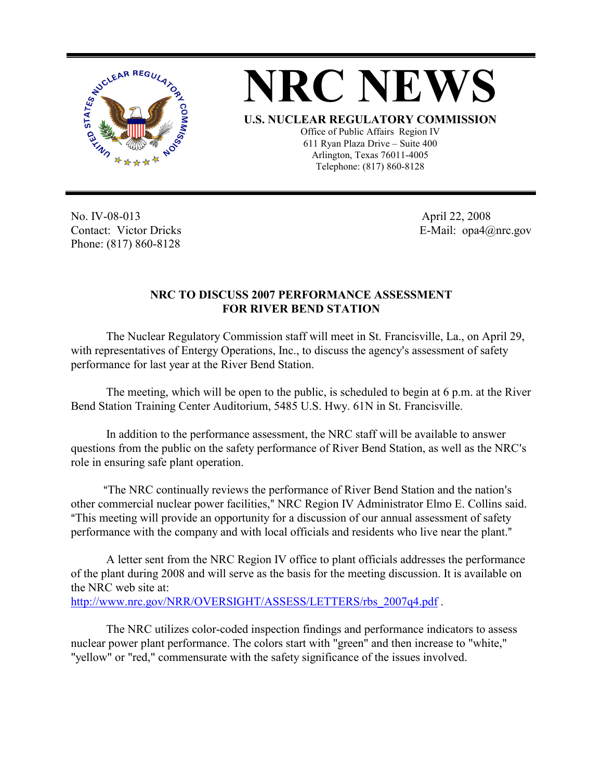



Arlington, Texas 76011-4005 Telephone: (817) 860-8128

No. IV-08-013 Contact: Victor Dricks Phone: (817) 860-8128

 April 22, 2008 E-Mail: opa4@nrc.gov

## **NRC TO DISCUSS 2007 PERFORMANCE ASSESSMENT FOR RIVER BEND STATION**

The Nuclear Regulatory Commission staff will meet in St. Francisville, La., on April 29, with representatives of Entergy Operations, Inc., to discuss the agency's assessment of safety performance for last year at the River Bend Station.

The meeting, which will be open to the public, is scheduled to begin at 6 p.m. at the River Bend Station Training Center Auditorium, 5485 U.S. Hwy. 61N in St. Francisville.

In addition to the performance assessment, the NRC staff will be available to answer questions from the public on the safety performance of River Bend Station, as well as the NRC's role in ensuring safe plant operation.

"The NRC continually reviews the performance of River Bend Station and the nation's other commercial nuclear power facilities," NRC Region IV Administrator Elmo E. Collins said. "This meeting will provide an opportunity for a discussion of our annual assessment of safety performance with the company and with local officials and residents who live near the plant."

A letter sent from the NRC Region IV office to plant officials addresses the performance of the plant during 2008 and will serve as the basis for the meeting discussion. It is available on the NRC web site at: http://www.nrc.gov/NRR/OVERSIGHT/ASSESS/LETTERS/rbs\_2007q4.pdf .

The NRC utilizes color-coded inspection findings and performance indicators to assess nuclear power plant performance. The colors start with "green" and then increase to "white," "yellow" or "red," commensurate with the safety significance of the issues involved.